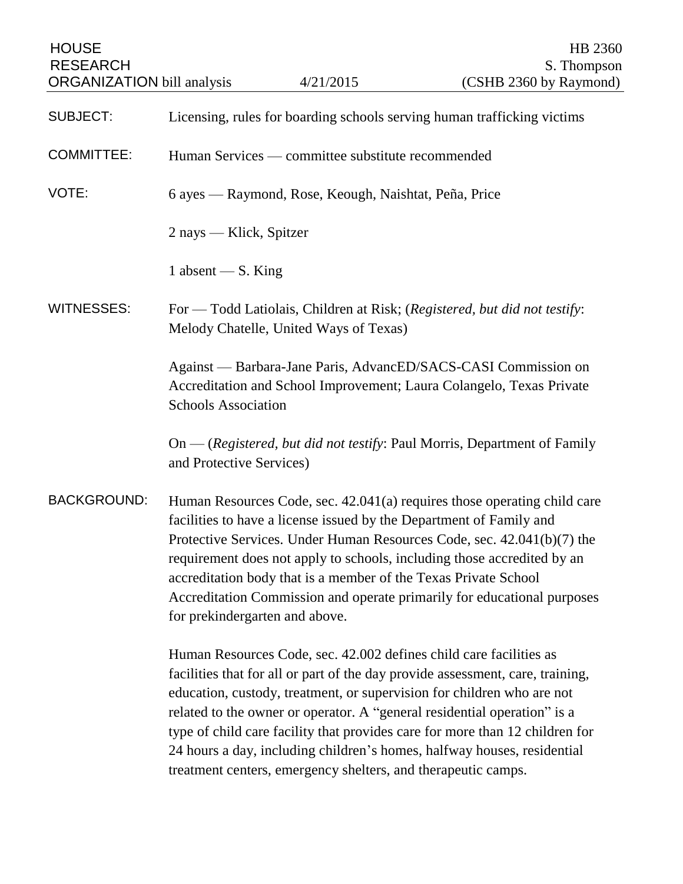| <b>HOUSE</b><br><b>RESEARCH</b><br><b>ORGANIZATION</b> bill analysis |                                                                                                                                                                                                                                                                                                                                                                                                                                                                                      | 4/21/2015                                                                                                                           | HB 2360<br>S. Thompson<br>(CSHB 2360 by Raymond)                                                                                                                                                                                                                                                                                                                                                |
|----------------------------------------------------------------------|--------------------------------------------------------------------------------------------------------------------------------------------------------------------------------------------------------------------------------------------------------------------------------------------------------------------------------------------------------------------------------------------------------------------------------------------------------------------------------------|-------------------------------------------------------------------------------------------------------------------------------------|-------------------------------------------------------------------------------------------------------------------------------------------------------------------------------------------------------------------------------------------------------------------------------------------------------------------------------------------------------------------------------------------------|
| <b>SUBJECT:</b>                                                      |                                                                                                                                                                                                                                                                                                                                                                                                                                                                                      |                                                                                                                                     | Licensing, rules for boarding schools serving human trafficking victims                                                                                                                                                                                                                                                                                                                         |
| <b>COMMITTEE:</b>                                                    |                                                                                                                                                                                                                                                                                                                                                                                                                                                                                      | Human Services — committee substitute recommended                                                                                   |                                                                                                                                                                                                                                                                                                                                                                                                 |
| VOTE:                                                                | 6 ayes — Raymond, Rose, Keough, Naishtat, Peña, Price                                                                                                                                                                                                                                                                                                                                                                                                                                |                                                                                                                                     |                                                                                                                                                                                                                                                                                                                                                                                                 |
|                                                                      | 2 nays — Klick, Spitzer                                                                                                                                                                                                                                                                                                                                                                                                                                                              |                                                                                                                                     |                                                                                                                                                                                                                                                                                                                                                                                                 |
|                                                                      | 1 absent — $S$ . King                                                                                                                                                                                                                                                                                                                                                                                                                                                                |                                                                                                                                     |                                                                                                                                                                                                                                                                                                                                                                                                 |
| <b>WITNESSES:</b>                                                    |                                                                                                                                                                                                                                                                                                                                                                                                                                                                                      | Melody Chatelle, United Ways of Texas)                                                                                              | For — Todd Latiolais, Children at Risk; (Registered, but did not testify:                                                                                                                                                                                                                                                                                                                       |
|                                                                      | <b>Schools Association</b>                                                                                                                                                                                                                                                                                                                                                                                                                                                           |                                                                                                                                     | Against — Barbara-Jane Paris, AdvancED/SACS-CASI Commission on<br>Accreditation and School Improvement; Laura Colangelo, Texas Private                                                                                                                                                                                                                                                          |
|                                                                      | and Protective Services)                                                                                                                                                                                                                                                                                                                                                                                                                                                             |                                                                                                                                     | On — (Registered, but did not testify: Paul Morris, Department of Family                                                                                                                                                                                                                                                                                                                        |
| <b>BACKGROUND:</b>                                                   | Human Resources Code, sec. 42.041(a) requires those operating child care<br>facilities to have a license issued by the Department of Family and<br>Protective Services. Under Human Resources Code, sec. 42.041(b)(7) the<br>requirement does not apply to schools, including those accredited by an<br>accreditation body that is a member of the Texas Private School<br>Accreditation Commission and operate primarily for educational purposes<br>for prekindergarten and above. |                                                                                                                                     |                                                                                                                                                                                                                                                                                                                                                                                                 |
|                                                                      |                                                                                                                                                                                                                                                                                                                                                                                                                                                                                      | Human Resources Code, sec. 42.002 defines child care facilities as<br>treatment centers, emergency shelters, and therapeutic camps. | facilities that for all or part of the day provide assessment, care, training,<br>education, custody, treatment, or supervision for children who are not<br>related to the owner or operator. A "general residential operation" is a<br>type of child care facility that provides care for more than 12 children for<br>24 hours a day, including children's homes, halfway houses, residential |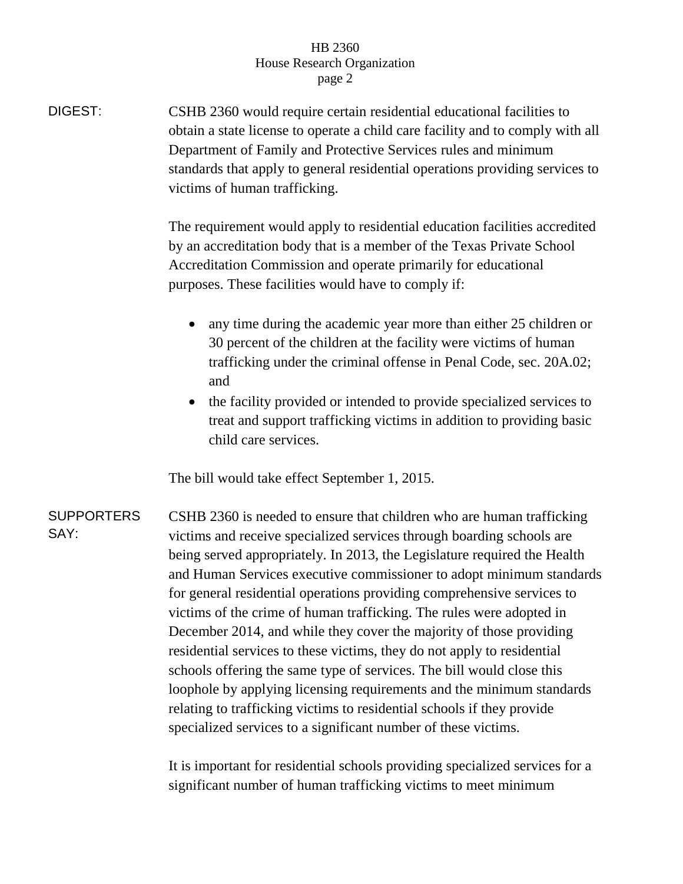## HB 2360 House Research Organization page 2

DIGEST: CSHB 2360 would require certain residential educational facilities to obtain a state license to operate a child care facility and to comply with all Department of Family and Protective Services rules and minimum standards that apply to general residential operations providing services to victims of human trafficking.

> The requirement would apply to residential education facilities accredited by an accreditation body that is a member of the Texas Private School Accreditation Commission and operate primarily for educational purposes. These facilities would have to comply if:

- any time during the academic year more than either 25 children or 30 percent of the children at the facility were victims of human trafficking under the criminal offense in Penal Code, sec. 20A.02; and
- the facility provided or intended to provide specialized services to treat and support trafficking victims in addition to providing basic child care services.

The bill would take effect September 1, 2015.

SUPPORTERS SAY: CSHB 2360 is needed to ensure that children who are human trafficking victims and receive specialized services through boarding schools are being served appropriately. In 2013, the Legislature required the Health and Human Services executive commissioner to adopt minimum standards for general residential operations providing comprehensive services to victims of the crime of human trafficking. The rules were adopted in December 2014, and while they cover the majority of those providing residential services to these victims, they do not apply to residential schools offering the same type of services. The bill would close this loophole by applying licensing requirements and the minimum standards relating to trafficking victims to residential schools if they provide specialized services to a significant number of these victims.

> It is important for residential schools providing specialized services for a significant number of human trafficking victims to meet minimum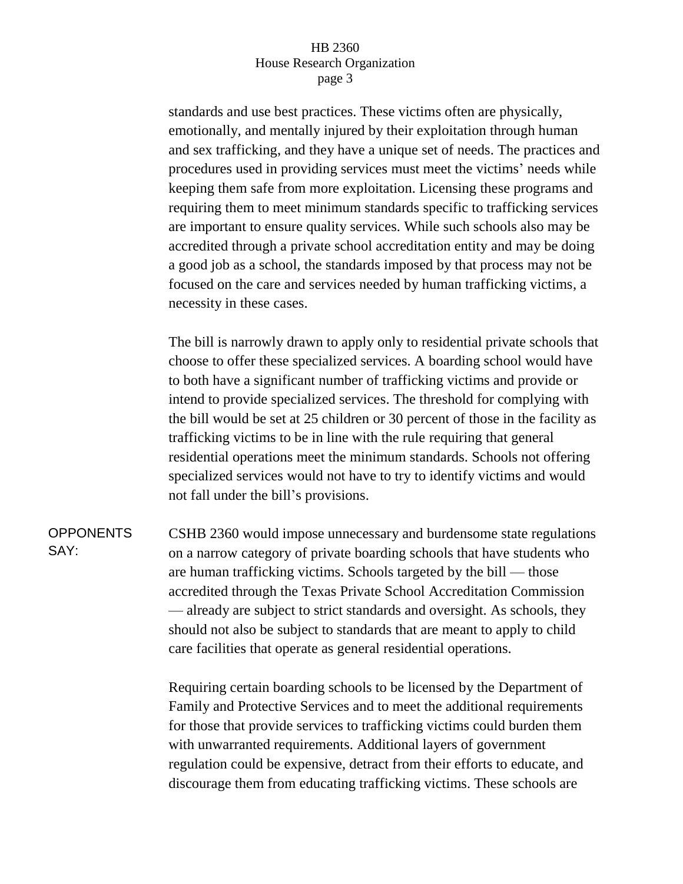## HB 2360 House Research Organization page 3

standards and use best practices. These victims often are physically, emotionally, and mentally injured by their exploitation through human and sex trafficking, and they have a unique set of needs. The practices and procedures used in providing services must meet the victims' needs while keeping them safe from more exploitation. Licensing these programs and requiring them to meet minimum standards specific to trafficking services are important to ensure quality services. While such schools also may be accredited through a private school accreditation entity and may be doing a good job as a school, the standards imposed by that process may not be focused on the care and services needed by human trafficking victims, a necessity in these cases.

The bill is narrowly drawn to apply only to residential private schools that choose to offer these specialized services. A boarding school would have to both have a significant number of trafficking victims and provide or intend to provide specialized services. The threshold for complying with the bill would be set at 25 children or 30 percent of those in the facility as trafficking victims to be in line with the rule requiring that general residential operations meet the minimum standards. Schools not offering specialized services would not have to try to identify victims and would not fall under the bill's provisions.

**OPPONENTS** SAY: CSHB 2360 would impose unnecessary and burdensome state regulations on a narrow category of private boarding schools that have students who are human trafficking victims. Schools targeted by the bill — those accredited through the Texas Private School Accreditation Commission — already are subject to strict standards and oversight. As schools, they should not also be subject to standards that are meant to apply to child care facilities that operate as general residential operations.

> Requiring certain boarding schools to be licensed by the Department of Family and Protective Services and to meet the additional requirements for those that provide services to trafficking victims could burden them with unwarranted requirements. Additional layers of government regulation could be expensive, detract from their efforts to educate, and discourage them from educating trafficking victims. These schools are